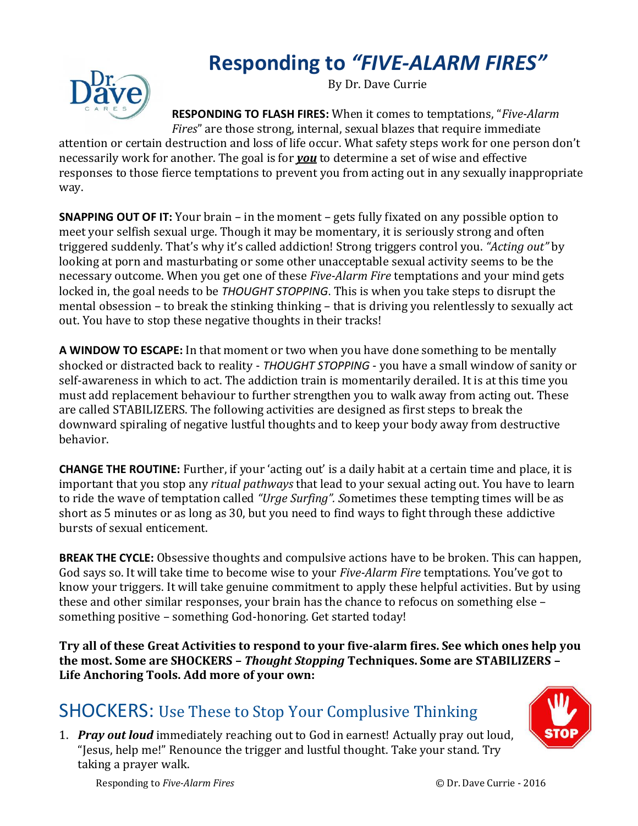## **Responding to** *"FIVE-ALARM FIRES"*



By Dr. Dave Currie

**RESPONDING TO FLASH FIRES:** When it comes to temptations, "*Five-Alarm Fires*" are those strong, internal, sexual blazes that require immediate

attention or certain destruction and loss of life occur. What safety steps work for one person don't necessarily work for another. The goal is for *you* to determine a set of wise and effective responses to those fierce temptations to prevent you from acting out in any sexually inappropriate way.

**SNAPPING OUT OF IT:** Your brain – in the moment – gets fully fixated on any possible option to meet your selfish sexual urge. Though it may be momentary, it is seriously strong and often triggered suddenly. That's why it's called addiction! Strong triggers control you. *"Acting out"* by looking at porn and masturbating or some other unacceptable sexual activity seems to be the necessary outcome. When you get one of these *Five-Alarm Fire* temptations and your mind gets locked in, the goal needs to be *THOUGHT STOPPING*. This is when you take steps to disrupt the mental obsession – to break the stinking thinking – that is driving you relentlessly to sexually act out. You have to stop these negative thoughts in their tracks!

**A WINDOW TO ESCAPE:** In that moment or two when you have done something to be mentally shocked or distracted back to reality - *THOUGHT STOPPING* - you have a small window of sanity or self-awareness in which to act. The addiction train is momentarily derailed. It is at this time you must add replacement behaviour to further strengthen you to walk away from acting out. These are called STABILIZERS. The following activities are designed as first steps to break the downward spiraling of negative lustful thoughts and to keep your body away from destructive behavior.

**CHANGE THE ROUTINE:** Further, if your 'acting out' is a daily habit at a certain time and place, it is important that you stop any *ritual pathways* that lead to your sexual acting out. You have to learn to ride the wave of temptation called *"Urge Surfing". S*ometimes these tempting times will be as short as 5 minutes or as long as 30, but you need to find ways to fight through these addictive bursts of sexual enticement.

**BREAK THE CYCLE:** Obsessive thoughts and compulsive actions have to be broken. This can happen, God says so. It will take time to become wise to your *Five-Alarm Fire* temptations. You've got to know your triggers. It will take genuine commitment to apply these helpful activities. But by using these and other similar responses, your brain has the chance to refocus on something else – something positive – something God-honoring. Get started today!

**Try all of these Great Activities to respond to your five-alarm fires. See which ones help you the most. Some are SHOCKERS –** *Thought Stopping* **Techniques. Some are STABILIZERS – Life Anchoring Tools. Add more of your own:**

## SHOCKERS: Use These to Stop Your Complusive Thinking

1. *Pray out loud* immediately reaching out to God in earnest! Actually pray out loud, "Jesus, help me!" Renounce the trigger and lustful thought. Take your stand. Try taking a prayer walk.

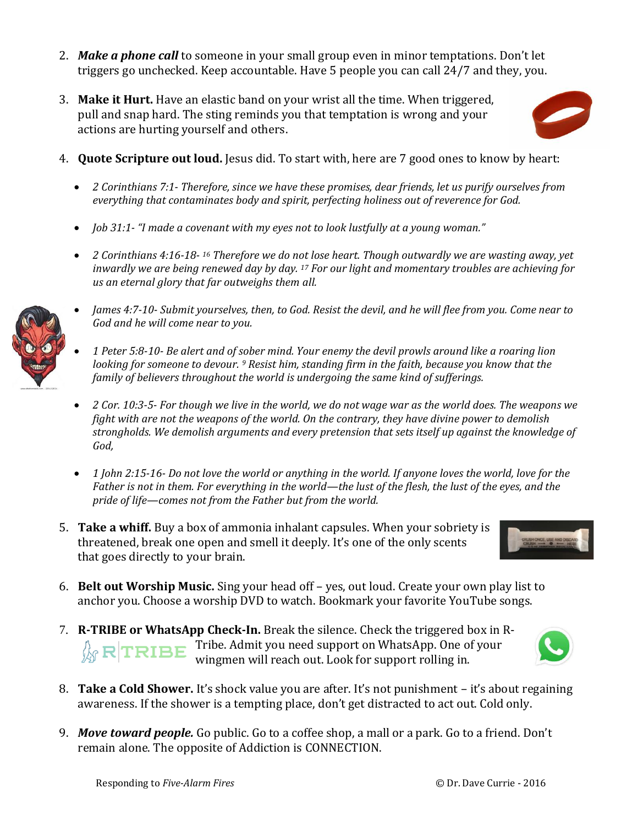- 2. *Make a phone call* to someone in your small group even in minor temptations. Don't let triggers go unchecked. Keep accountable. Have 5 people you can call 24/7 and they, you.
- 3. **Make it Hurt.** Have an elastic band on your wrist all the time. When triggered, pull and snap hard. The sting reminds you that temptation is wrong and your actions are hurting yourself and others.



- 4. **Quote Scripture out loud.** Jesus did. To start with, here are 7 good ones to know by heart:
	- *2 Corinthians 7:1- Therefore, since we have these promises, dear friends, let us purify ourselves from everything that contaminates body and spirit, perfecting holiness out of reverence for God.*
	- *Job 31:1- "I made a covenant with my eyes not to look lustfully at a young woman."*
	- *2 Corinthians 4:16-18- <sup>16</sup> Therefore we do not lose heart. Though outwardly we are wasting away, yet inwardly we are being renewed day by day. <sup>17</sup> For our light and momentary troubles are achieving for us an eternal glory that far outweighs them all.*



- *James 4:7-10- Submit yourselves, then, to God. Resist the devil, and he will flee from you. Come near to God and he will come near to you.*
- *1 Peter 5:8-10- Be alert and of sober mind. Your enemy the devil prowls around like a roaring lion looking for someone to devour. <sup>9</sup> Resist him, standing firm in the faith, because you know that the family of believers throughout the world is undergoing the same kind of sufferings.*
- *2 Cor. 10:3-5- For though we live in the world, we do not wage war as the world does. The weapons we fight with are not the weapons of the world. On the contrary, they have divine power to demolish strongholds. We demolish arguments and every pretension that sets itself up against the knowledge of God,*
- *1 John 2:15-16- Do not love the world or anything in the world. If anyone loves the world, love for the Father is not in them. For everything in the world—the lust of the flesh, the lust of the eyes, and the pride of life—comes not from the Father but from the world.*
- 5. **Take a whiff.** Buy a box of ammonia inhalant capsules. When your sobriety is threatened, break one open and smell it deeply. It's one of the only scents that goes directly to your brain.



- 6. **Belt out Worship Music.** Sing your head off yes, out loud. Create your own play list to anchor you. Choose a worship DVD to watch. Bookmark your favorite YouTube songs.
- 7. **R-TRIBE or WhatsApp Check-In.** Break the silence. Check the triggered box in R- $\mathbb{R}$   $\mathbf{R}$   $\mathbf{R}$  **TRIBE** Tribe. Admit you need support on WhatsApp. One of your wingmen will reach out. Look for support rolling in.
- 8. **Take a Cold Shower.** It's shock value you are after. It's not punishment it's about regaining awareness. If the shower is a tempting place, don't get distracted to act out. Cold only.
- 9. *Move toward people.* Go public. Go to a coffee shop, a mall or a park. Go to a friend. Don't remain alone. The opposite of Addiction is CONNECTION.